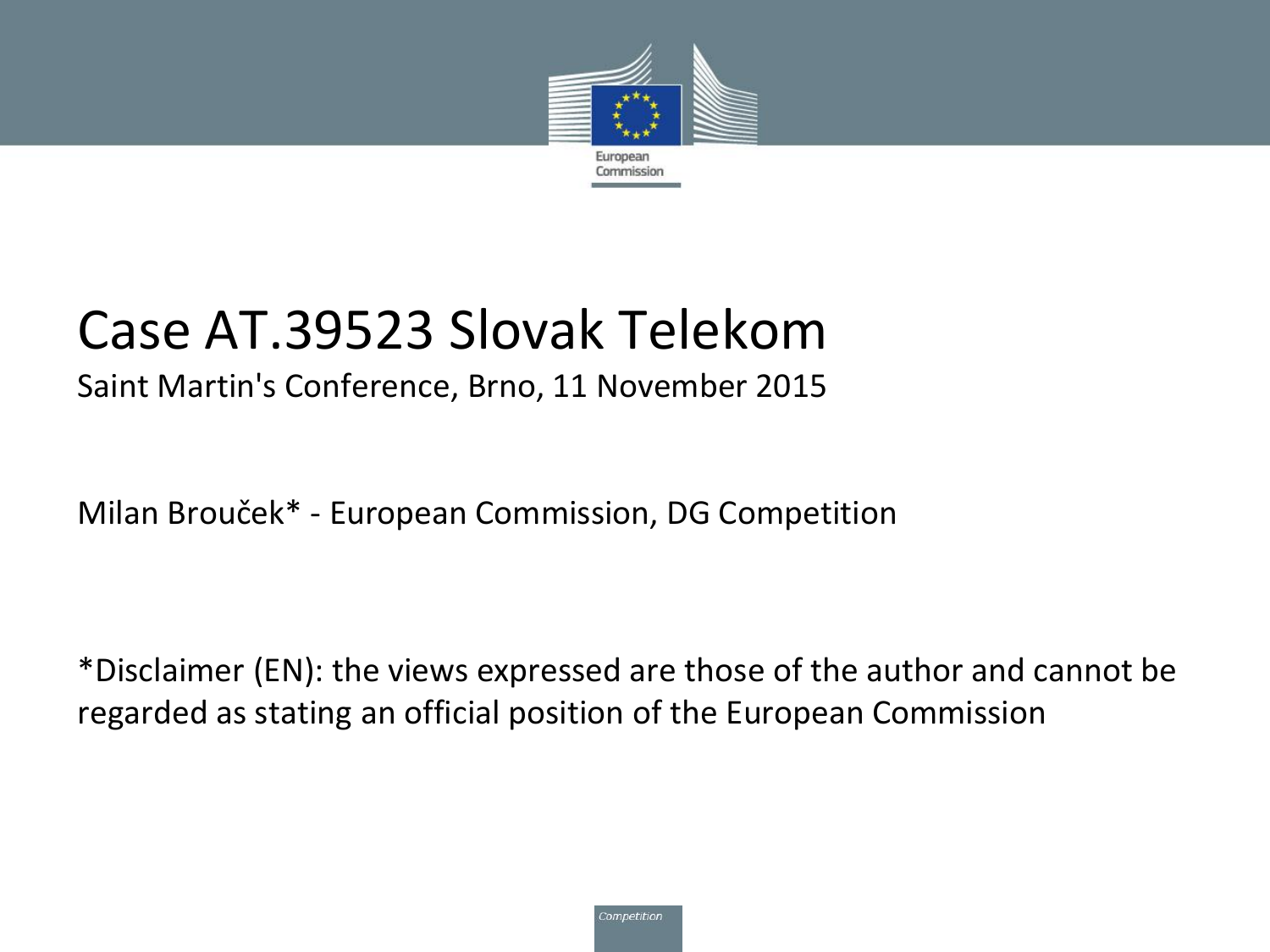

#### Case AT.39523 Slovak Telekom

#### Saint Martin's Conference, Brno, 11 November 2015

Milan Brouček\* - European Commission, DG Competition

\*Disclaimer (EN): the views expressed are those of the author and cannot be regarded as stating an official position of the European Commission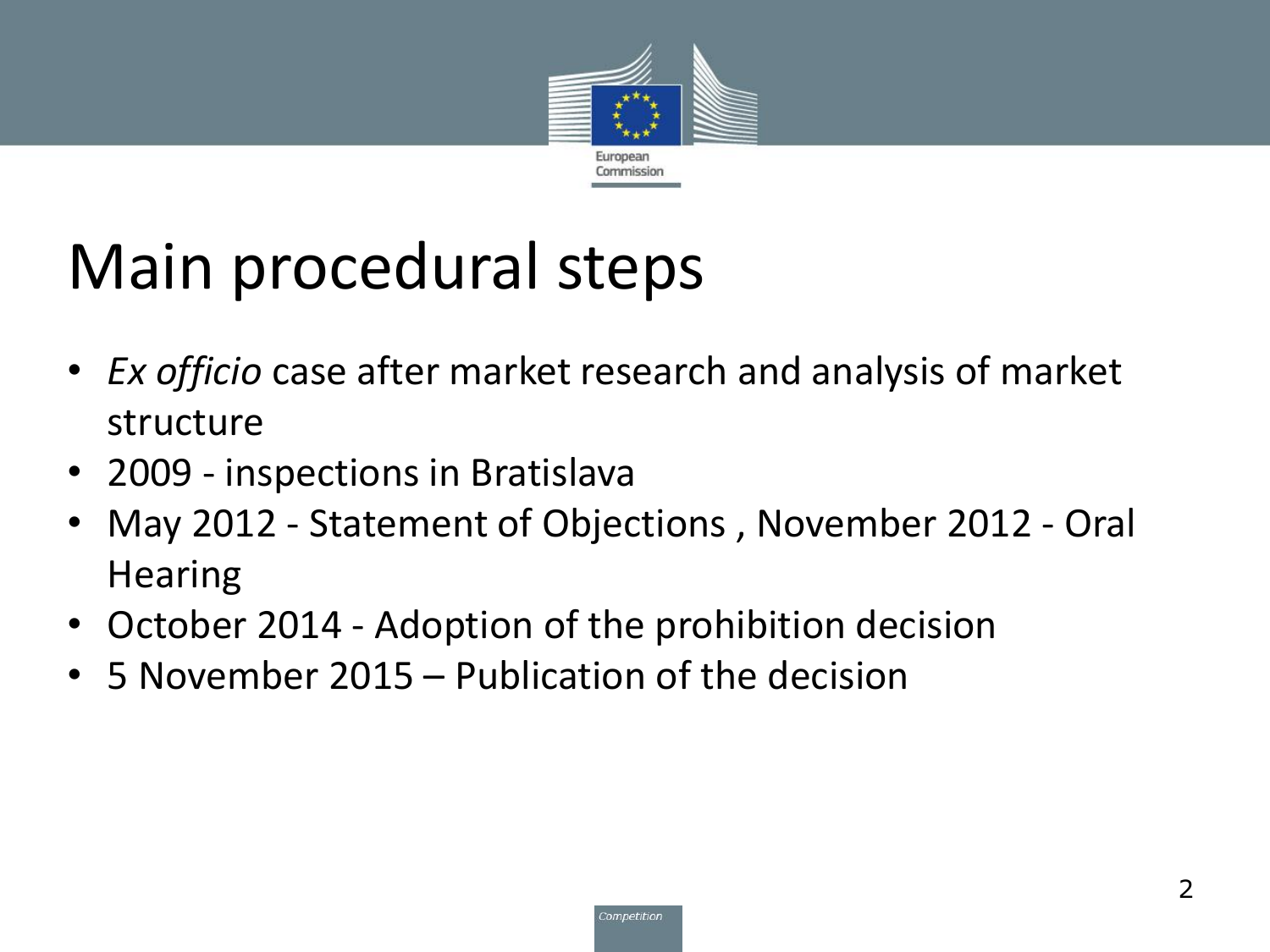

#### Main procedural steps

- *Ex officio* case after market research and analysis of market structure
- 2009 inspections in Bratislava
- May 2012 Statement of Objections , November 2012 Oral **Hearing**
- October 2014 Adoption of the prohibition decision
- 5 November 2015 Publication of the decision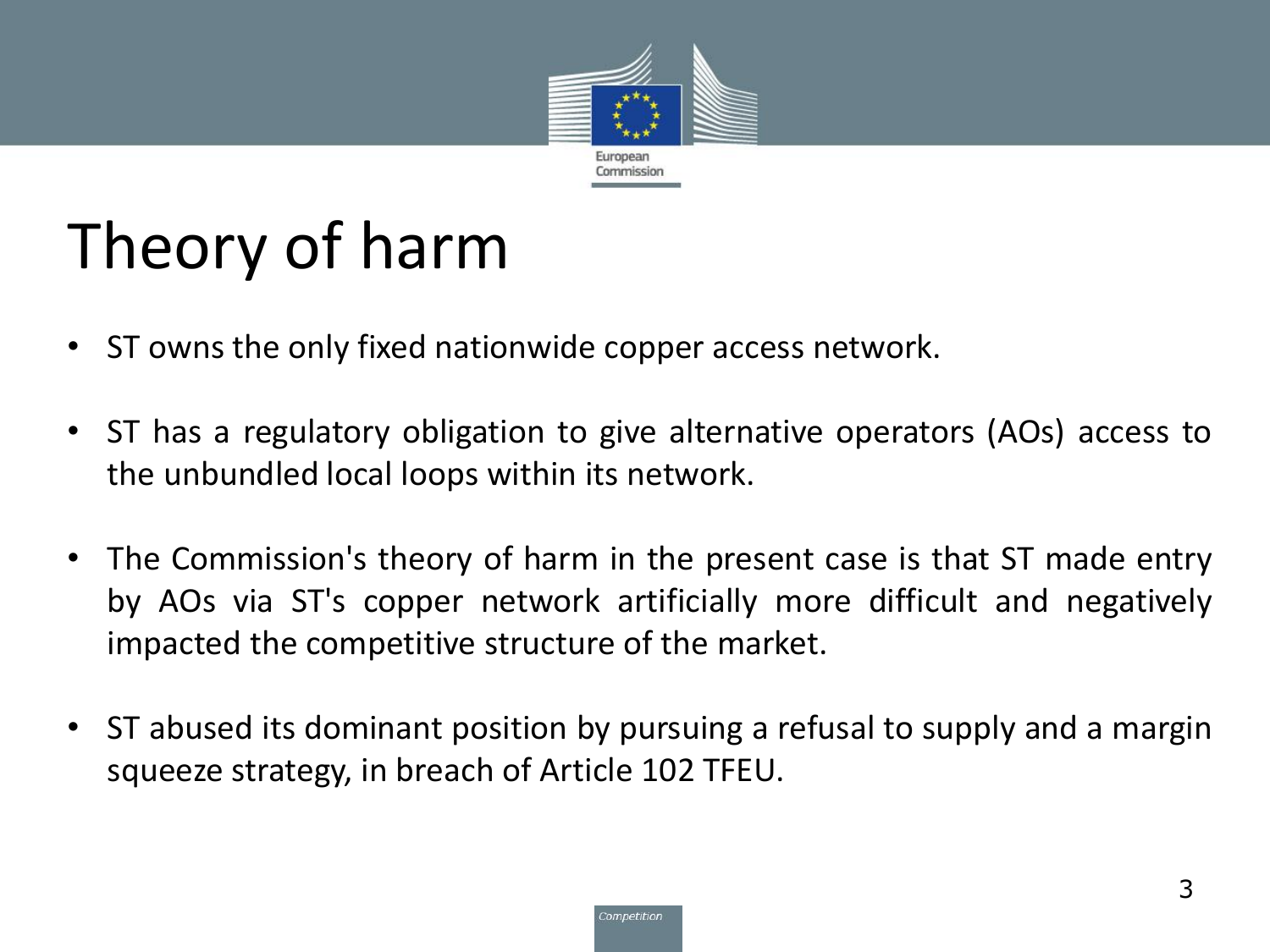

## Theory of harm

- ST owns the only fixed nationwide copper access network.
- ST has a regulatory obligation to give alternative operators (AOs) access to the unbundled local loops within its network.
- The Commission's theory of harm in the present case is that ST made entry by AOs via ST's copper network artificially more difficult and negatively impacted the competitive structure of the market.
- ST abused its dominant position by pursuing a refusal to supply and a margin squeeze strategy, in breach of Article 102 TFEU.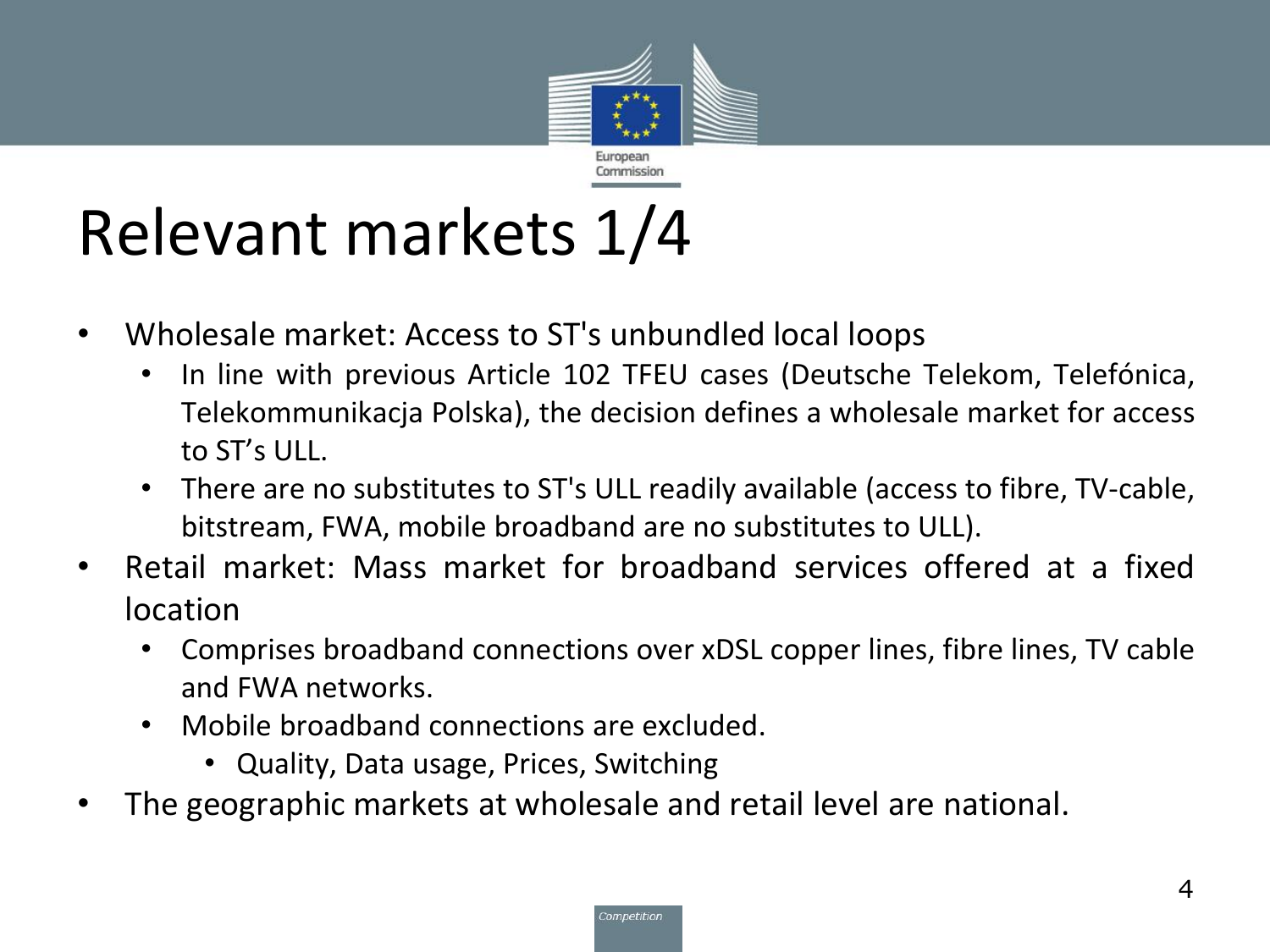

## Relevant markets 1/4

- Wholesale market: Access to ST's unbundled local loops
	- In line with previous Article 102 TFEU cases (Deutsche Telekom, Telefónica, Telekommunikacja Polska), the decision defines a wholesale market for access to ST's ULL.
	- There are no substitutes to ST's ULL readily available (access to fibre, TV-cable, bitstream, FWA, mobile broadband are no substitutes to ULL).
- Retail market: Mass market for broadband services offered at a fixed location
	- Comprises broadband connections over xDSL copper lines, fibre lines, TV cable and FWA networks.
	- Mobile broadband connections are excluded.
		- Quality, Data usage, Prices, Switching
- The geographic markets at wholesale and retail level are national.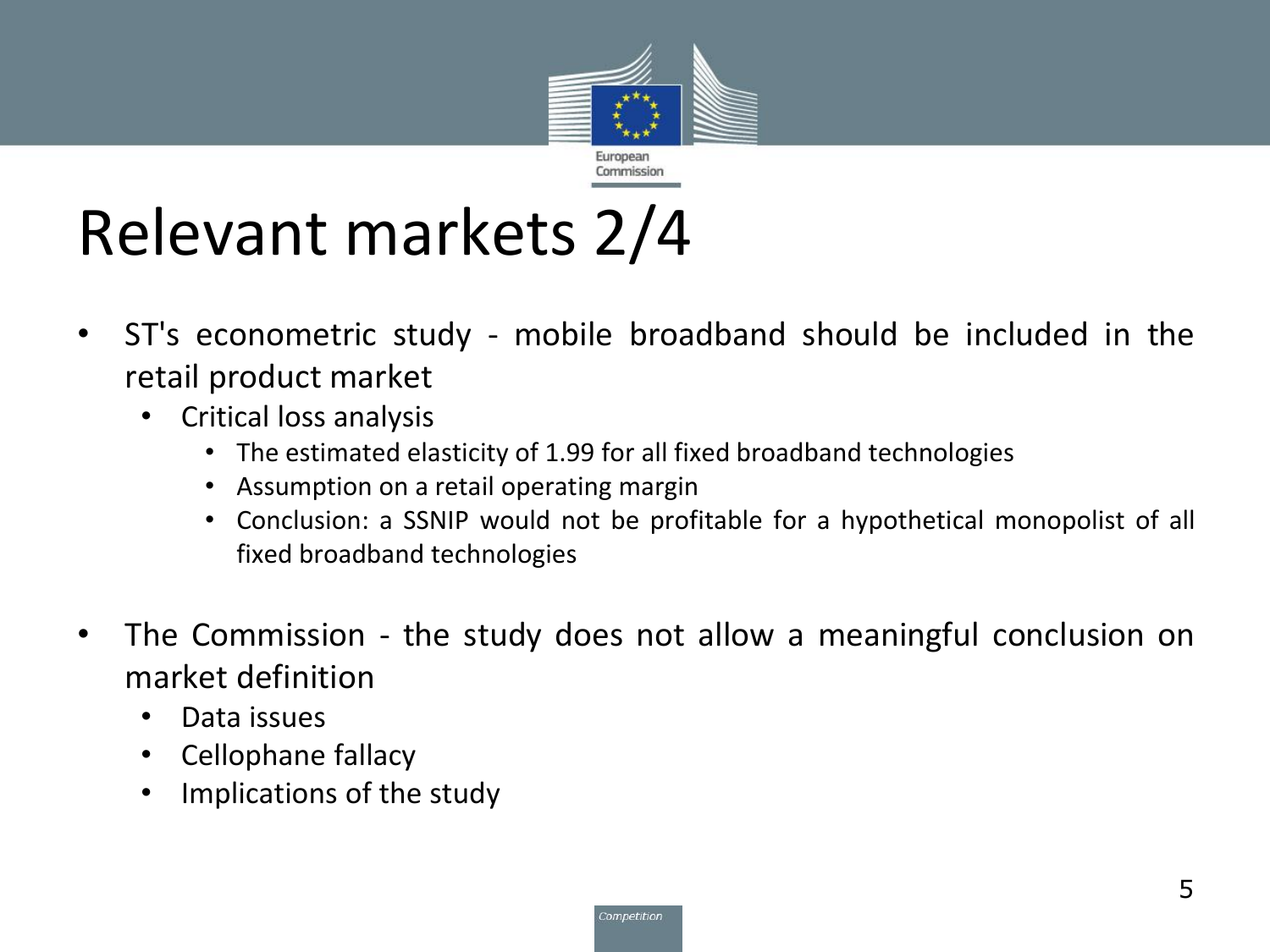

## Relevant markets 2/4

- ST's econometric study mobile broadband should be included in the retail product market
	- Critical loss analysis
		- The estimated elasticity of 1.99 for all fixed broadband technologies
		- Assumption on a retail operating margin
		- Conclusion: a SSNIP would not be profitable for a hypothetical monopolist of all fixed broadband technologies
- The Commission the study does not allow a meaningful conclusion on market definition
	- Data issues
	- Cellophane fallacy
	- Implications of the study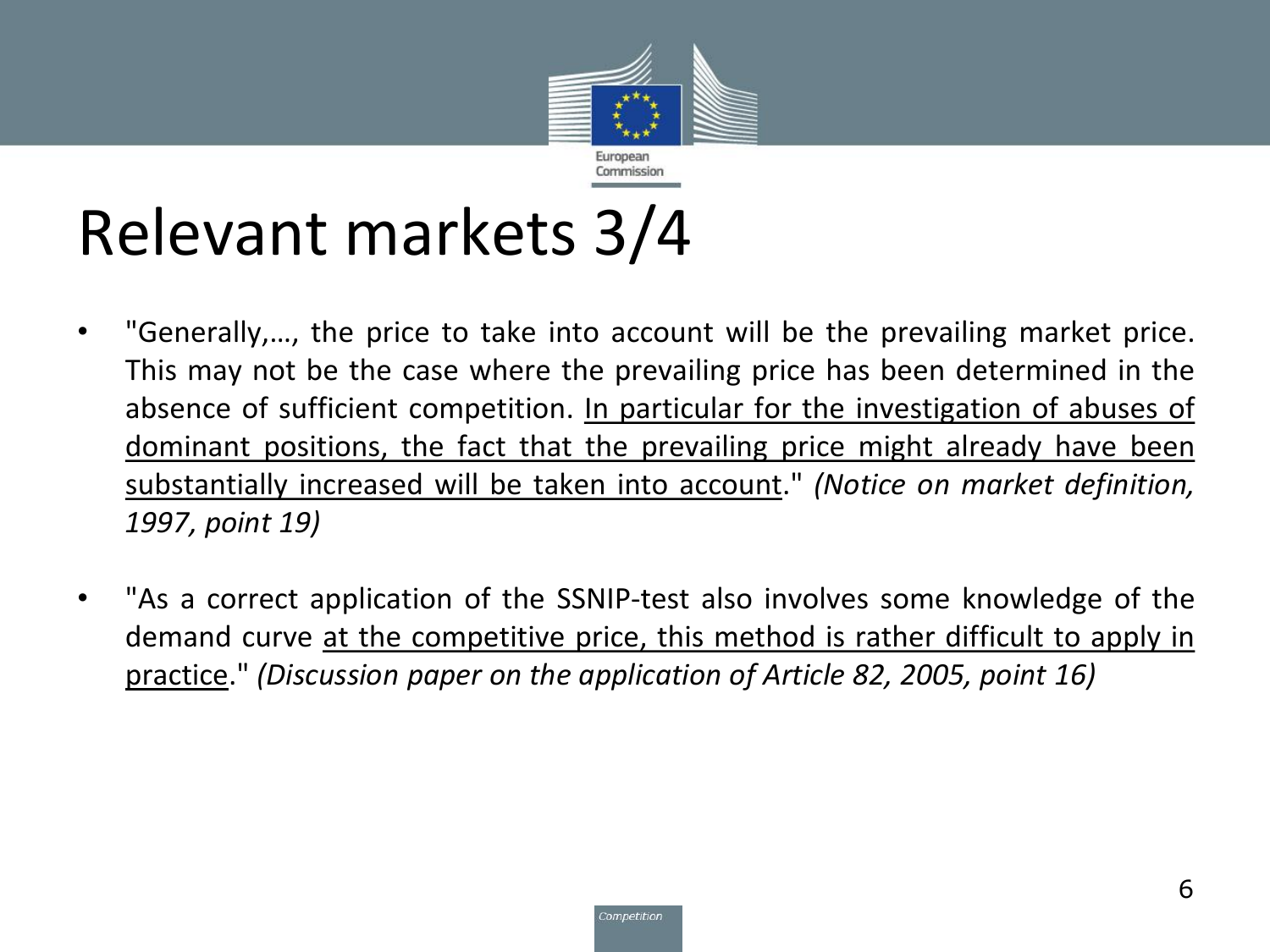

#### Relevant markets 3/4

- "Generally,…, the price to take into account will be the prevailing market price. This may not be the case where the prevailing price has been determined in the absence of sufficient competition. In particular for the investigation of abuses of dominant positions, the fact that the prevailing price might already have been substantially increased will be taken into account." *(Notice on market definition, 1997, point 19)*
- "As a correct application of the SSNIP-test also involves some knowledge of the demand curve at the competitive price, this method is rather difficult to apply in practice." *(Discussion paper on the application of Article 82, 2005, point 16)*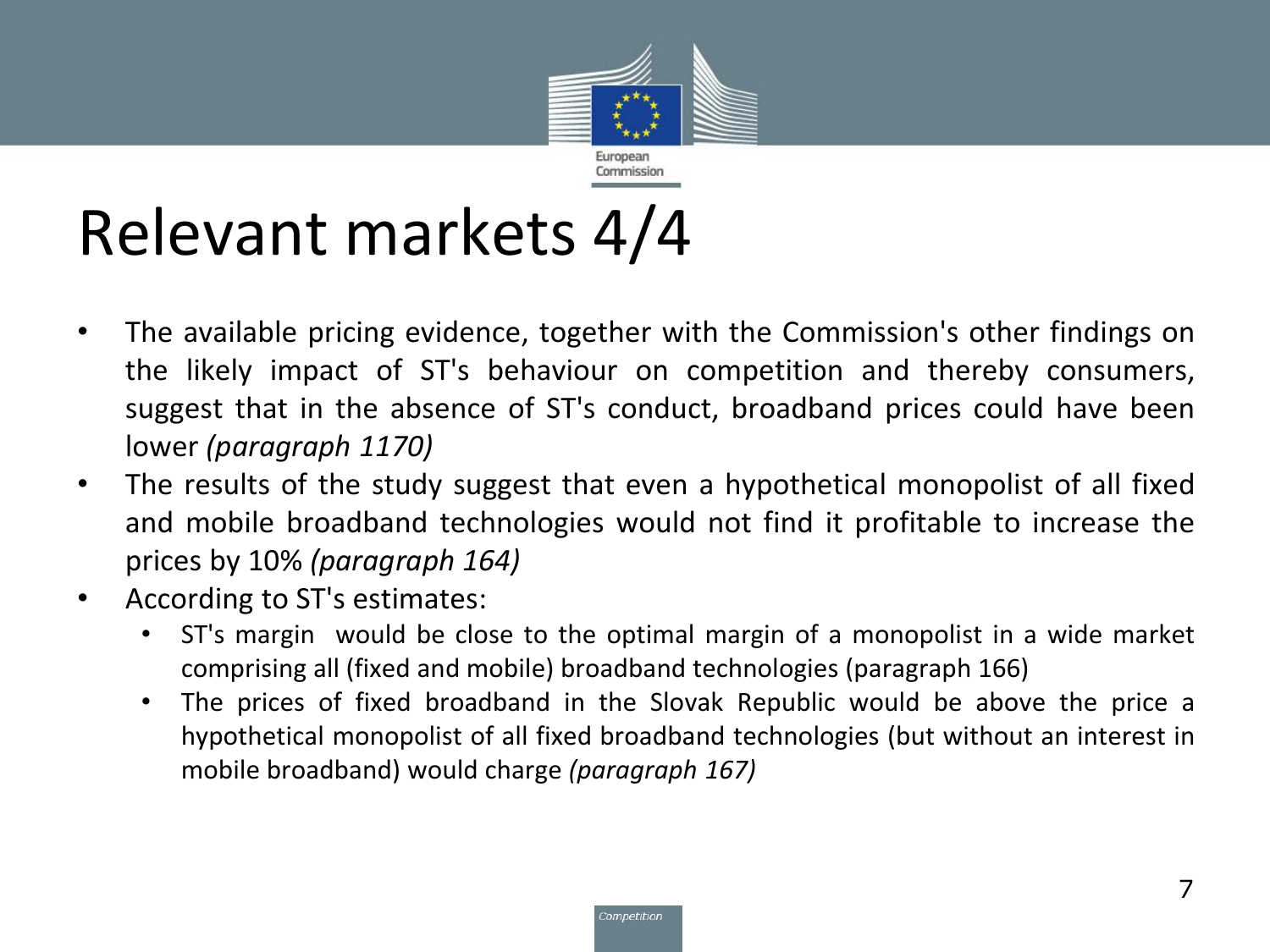

#### Relevant markets 4/4

- The available pricing evidence, together with the Commission's other findings on the likely impact of ST's behaviour on competition and thereby consumers, suggest that in the absence of ST's conduct, broadband prices could have been lower *(paragraph 1170)*
- The results of the study suggest that even a hypothetical monopolist of all fixed and mobile broadband technologies would not find it profitable to increase the prices by 10% *(paragraph 164)*
- According to ST's estimates:
	- ST's margin would be close to the optimal margin of a monopolist in a wide market comprising all (fixed and mobile) broadband technologies (paragraph 166)
	- The prices of fixed broadband in the Slovak Republic would be above the price a hypothetical monopolist of all fixed broadband technologies (but without an interest in mobile broadband) would charge *(paragraph 167)*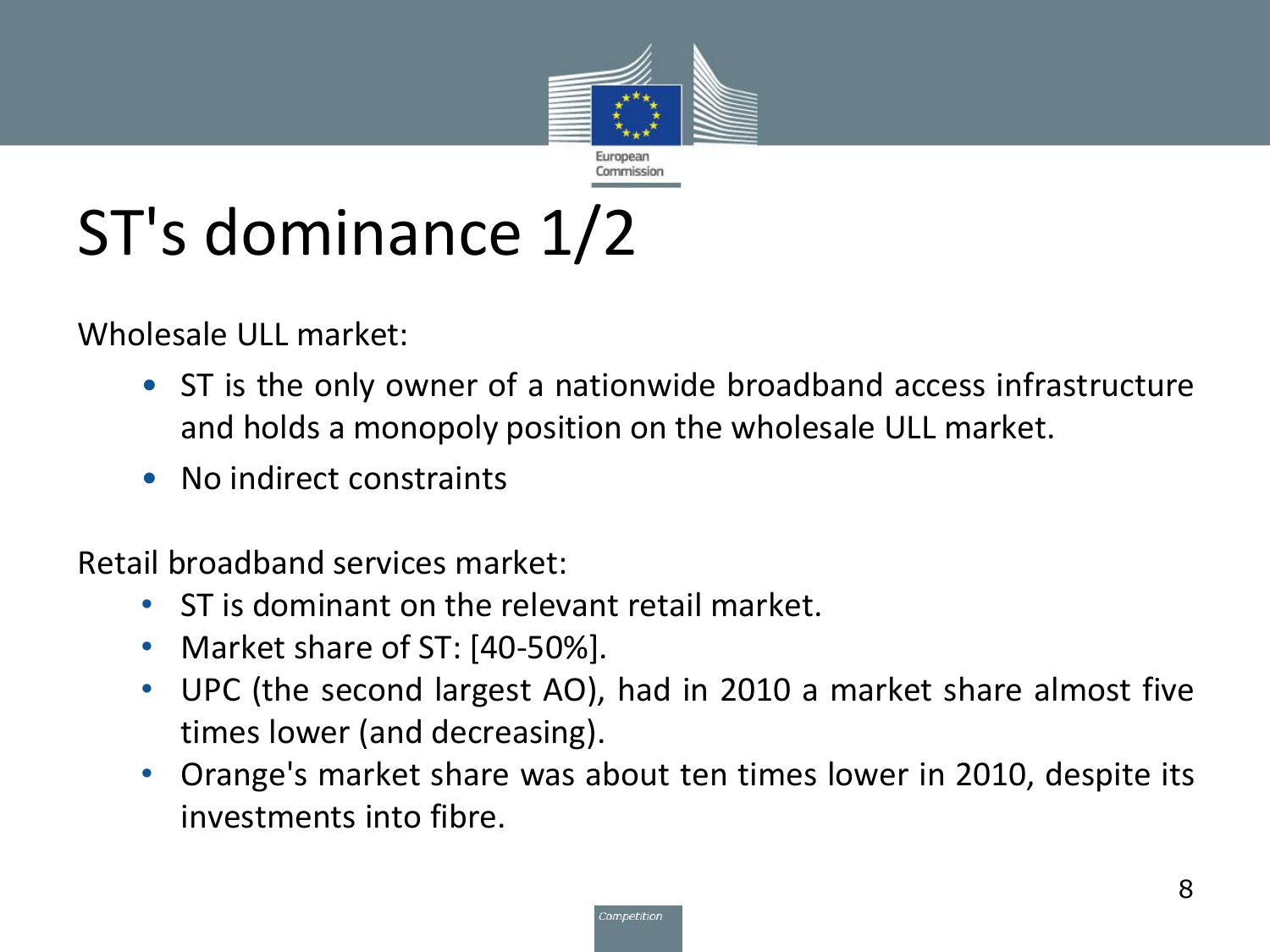

# ST's dominance 1/2

Wholesale ULL market:

- ST is the only owner of a nationwide broadband access infrastructure and holds a monopoly position on the wholesale ULL market.
- No indirect constraints

Retail broadband services market:

- ST is dominant on the relevant retail market.
- Market share of ST: [40-50%].
- UPC (the second largest AO), had in 2010 a market share almost five times lower (and decreasing).
- Orange's market share was about ten times lower in 2010, despite its investments into fibre.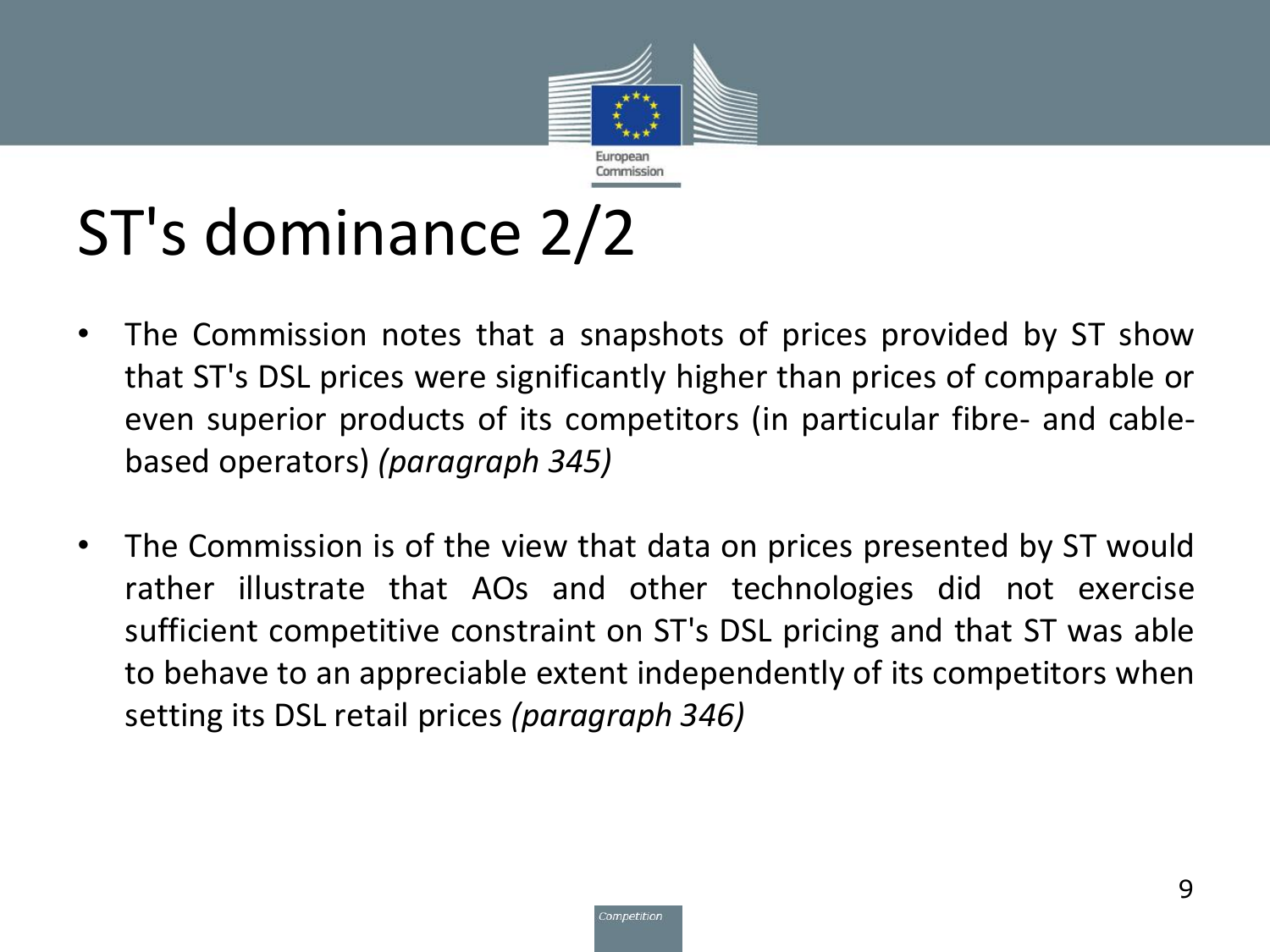

# ST's dominance 2/2

- The Commission notes that a snapshots of prices provided by ST show that ST's DSL prices were significantly higher than prices of comparable or even superior products of its competitors (in particular fibre- and cablebased operators) *(paragraph 345)*
- The Commission is of the view that data on prices presented by ST would rather illustrate that AOs and other technologies did not exercise sufficient competitive constraint on ST's DSL pricing and that ST was able to behave to an appreciable extent independently of its competitors when setting its DSL retail prices *(paragraph 346)*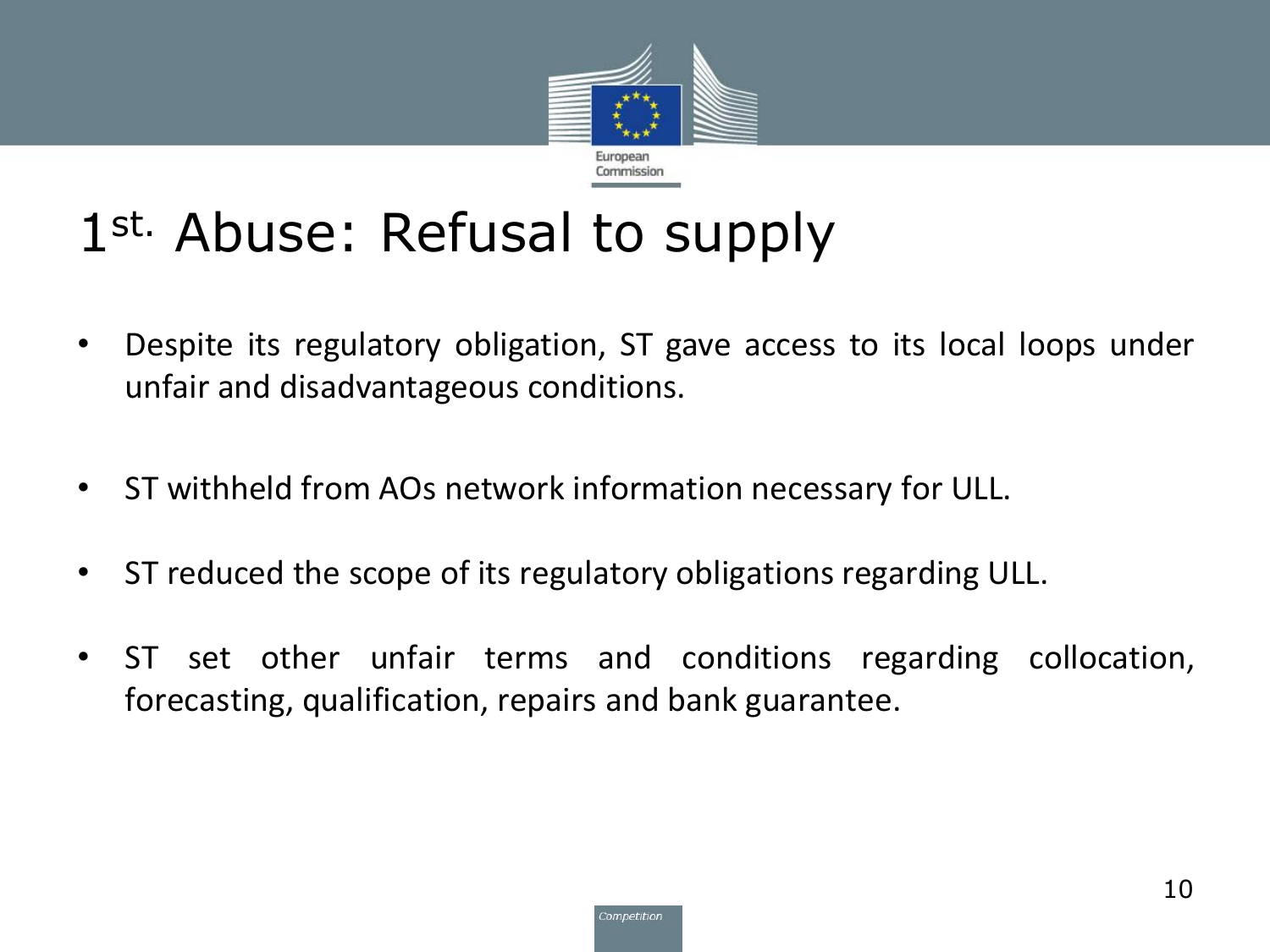

#### 1st. Abuse: Refusal to supply

- Despite its regulatory obligation, ST gave access to its local loops under unfair and disadvantageous conditions.
- ST withheld from AOs network information necessary for ULL.
- ST reduced the scope of its regulatory obligations regarding ULL.
- ST set other unfair terms and conditions regarding collocation, forecasting, qualification, repairs and bank guarantee.